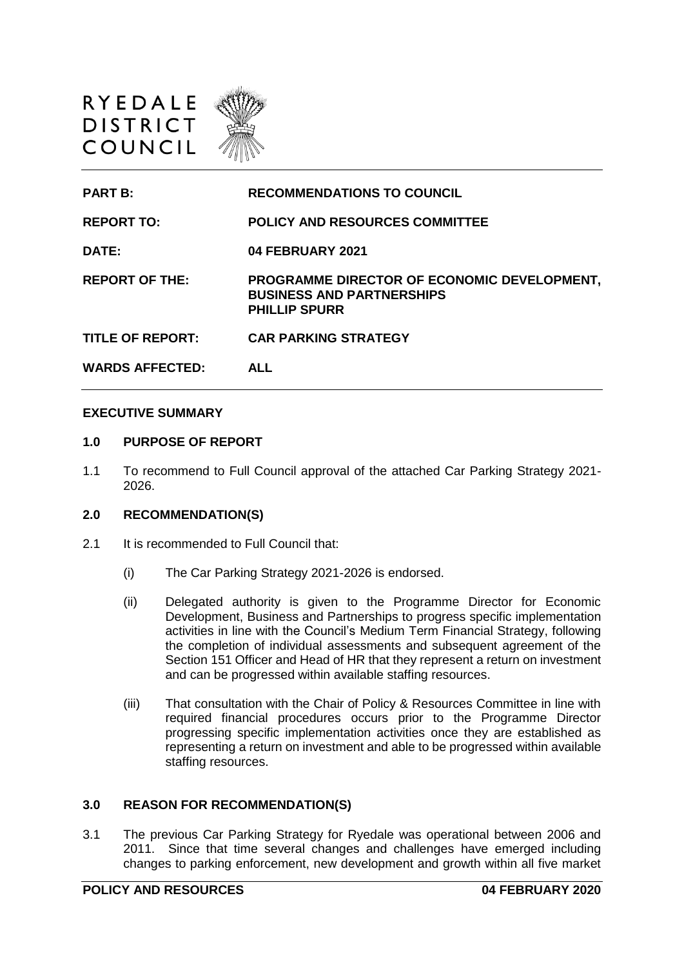

| <b>PART B:</b>          | <b>RECOMMENDATIONS TO COUNCIL</b>                                                                       |
|-------------------------|---------------------------------------------------------------------------------------------------------|
| <b>REPORT TO:</b>       | <b>POLICY AND RESOURCES COMMITTEE</b>                                                                   |
| DATE:                   | <b>04 FEBRUARY 2021</b>                                                                                 |
| <b>REPORT OF THE:</b>   | PROGRAMME DIRECTOR OF ECONOMIC DEVELOPMENT,<br><b>BUSINESS AND PARTNERSHIPS</b><br><b>PHILLIP SPURR</b> |
| <b>TITLE OF REPORT:</b> | <b>CAR PARKING STRATEGY</b>                                                                             |
| <b>WARDS AFFECTED:</b>  | <b>ALL</b>                                                                                              |

### **EXECUTIVE SUMMARY**

### **1.0 PURPOSE OF REPORT**

1.1 To recommend to Full Council approval of the attached Car Parking Strategy 2021- 2026.

### **2.0 RECOMMENDATION(S)**

- 2.1 It is recommended to Full Council that:
	- (i) The Car Parking Strategy 2021-2026 is endorsed.
	- (ii) Delegated authority is given to the Programme Director for Economic Development, Business and Partnerships to progress specific implementation activities in line with the Council's Medium Term Financial Strategy, following the completion of individual assessments and subsequent agreement of the Section 151 Officer and Head of HR that they represent a return on investment and can be progressed within available staffing resources.
	- (iii) That consultation with the Chair of Policy & Resources Committee in line with required financial procedures occurs prior to the Programme Director progressing specific implementation activities once they are established as representing a return on investment and able to be progressed within available staffing resources.

## **3.0 REASON FOR RECOMMENDATION(S)**

3.1 The previous Car Parking Strategy for Ryedale was operational between 2006 and 2011. Since that time several changes and challenges have emerged including changes to parking enforcement, new development and growth within all five market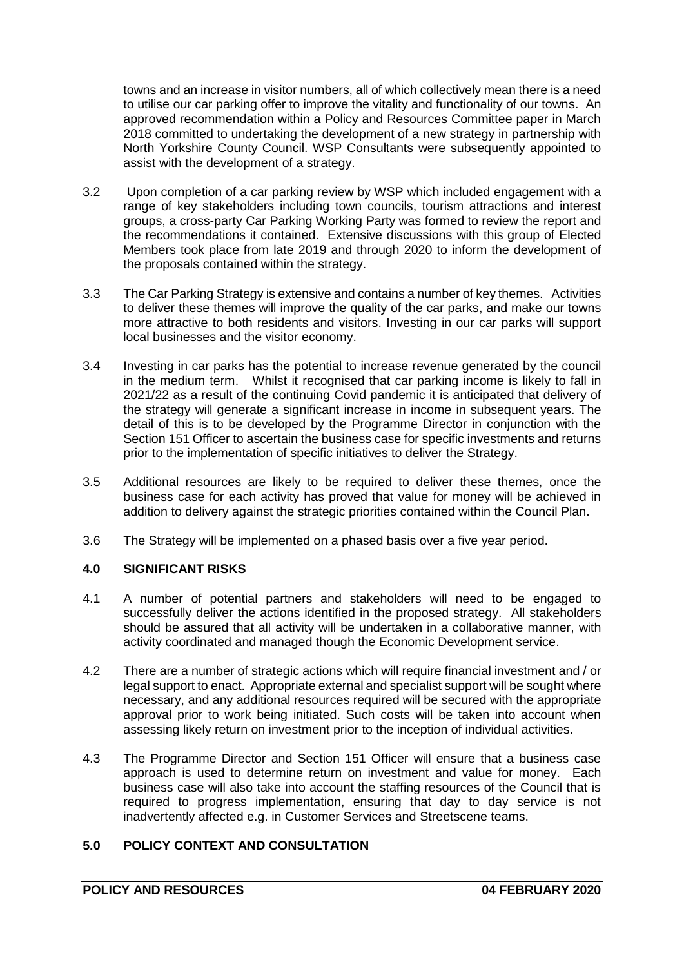towns and an increase in visitor numbers, all of which collectively mean there is a need to utilise our car parking offer to improve the vitality and functionality of our towns. An approved recommendation within a Policy and Resources Committee paper in March 2018 committed to undertaking the development of a new strategy in partnership with North Yorkshire County Council. WSP Consultants were subsequently appointed to assist with the development of a strategy.

- 3.2 Upon completion of a car parking review by WSP which included engagement with a range of key stakeholders including town councils, tourism attractions and interest groups, a cross-party Car Parking Working Party was formed to review the report and the recommendations it contained. Extensive discussions with this group of Elected Members took place from late 2019 and through 2020 to inform the development of the proposals contained within the strategy.
- 3.3 The Car Parking Strategy is extensive and contains a number of key themes. Activities to deliver these themes will improve the quality of the car parks, and make our towns more attractive to both residents and visitors. Investing in our car parks will support local businesses and the visitor economy.
- 3.4 Investing in car parks has the potential to increase revenue generated by the council in the medium term. Whilst it recognised that car parking income is likely to fall in 2021/22 as a result of the continuing Covid pandemic it is anticipated that delivery of the strategy will generate a significant increase in income in subsequent years. The detail of this is to be developed by the Programme Director in conjunction with the Section 151 Officer to ascertain the business case for specific investments and returns prior to the implementation of specific initiatives to deliver the Strategy.
- 3.5 Additional resources are likely to be required to deliver these themes, once the business case for each activity has proved that value for money will be achieved in addition to delivery against the strategic priorities contained within the Council Plan.
- 3.6 The Strategy will be implemented on a phased basis over a five year period.

## **4.0 SIGNIFICANT RISKS**

- 4.1 A number of potential partners and stakeholders will need to be engaged to successfully deliver the actions identified in the proposed strategy. All stakeholders should be assured that all activity will be undertaken in a collaborative manner, with activity coordinated and managed though the Economic Development service.
- 4.2 There are a number of strategic actions which will require financial investment and / or legal support to enact. Appropriate external and specialist support will be sought where necessary, and any additional resources required will be secured with the appropriate approval prior to work being initiated. Such costs will be taken into account when assessing likely return on investment prior to the inception of individual activities.
- 4.3 The Programme Director and Section 151 Officer will ensure that a business case approach is used to determine return on investment and value for money. Each business case will also take into account the staffing resources of the Council that is required to progress implementation, ensuring that day to day service is not inadvertently affected e.g. in Customer Services and Streetscene teams.

# **5.0 POLICY CONTEXT AND CONSULTATION**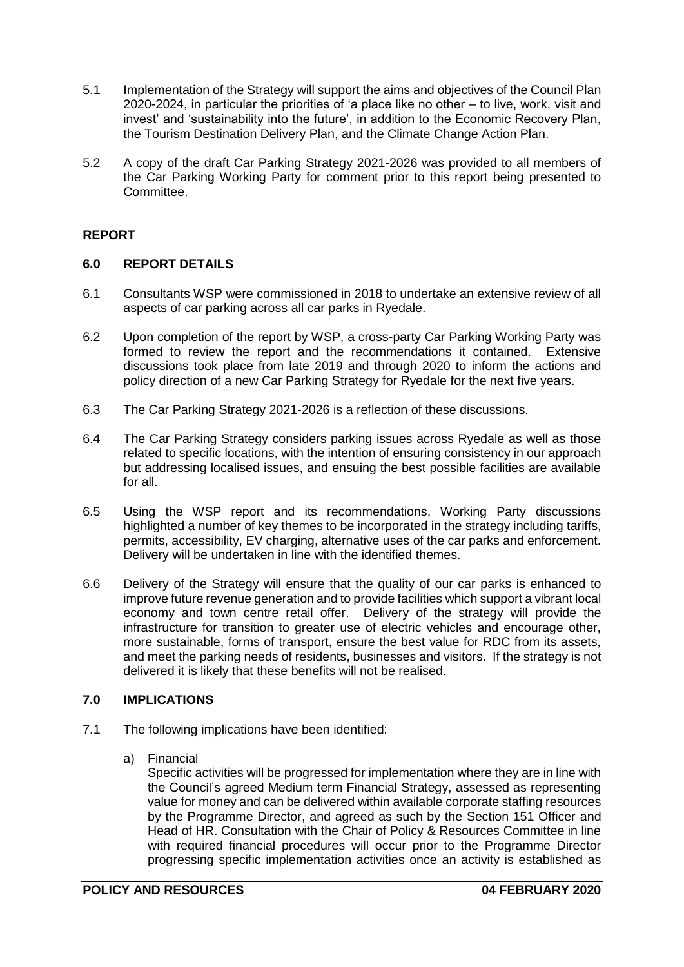- 5.1 Implementation of the Strategy will support the aims and objectives of the Council Plan 2020-2024, in particular the priorities of 'a place like no other – to live, work, visit and invest' and 'sustainability into the future', in addition to the Economic Recovery Plan, the Tourism Destination Delivery Plan, and the Climate Change Action Plan.
- 5.2 A copy of the draft Car Parking Strategy 2021-2026 was provided to all members of the Car Parking Working Party for comment prior to this report being presented to Committee.

# **REPORT**

## **6.0 REPORT DETAILS**

- 6.1 Consultants WSP were commissioned in 2018 to undertake an extensive review of all aspects of car parking across all car parks in Ryedale.
- 6.2 Upon completion of the report by WSP, a cross-party Car Parking Working Party was formed to review the report and the recommendations it contained. Extensive discussions took place from late 2019 and through 2020 to inform the actions and policy direction of a new Car Parking Strategy for Ryedale for the next five years.
- 6.3 The Car Parking Strategy 2021-2026 is a reflection of these discussions.
- 6.4 The Car Parking Strategy considers parking issues across Ryedale as well as those related to specific locations, with the intention of ensuring consistency in our approach but addressing localised issues, and ensuing the best possible facilities are available for all.
- 6.5 Using the WSP report and its recommendations, Working Party discussions highlighted a number of key themes to be incorporated in the strategy including tariffs, permits, accessibility, EV charging, alternative uses of the car parks and enforcement. Delivery will be undertaken in line with the identified themes.
- 6.6 Delivery of the Strategy will ensure that the quality of our car parks is enhanced to improve future revenue generation and to provide facilities which support a vibrant local economy and town centre retail offer. Delivery of the strategy will provide the infrastructure for transition to greater use of electric vehicles and encourage other, more sustainable, forms of transport, ensure the best value for RDC from its assets, and meet the parking needs of residents, businesses and visitors. If the strategy is not delivered it is likely that these benefits will not be realised.

# **7.0 IMPLICATIONS**

- 7.1 The following implications have been identified:
	- a) Financial

Specific activities will be progressed for implementation where they are in line with the Council's agreed Medium term Financial Strategy, assessed as representing value for money and can be delivered within available corporate staffing resources by the Programme Director, and agreed as such by the Section 151 Officer and Head of HR. Consultation with the Chair of Policy & Resources Committee in line with required financial procedures will occur prior to the Programme Director progressing specific implementation activities once an activity is established as